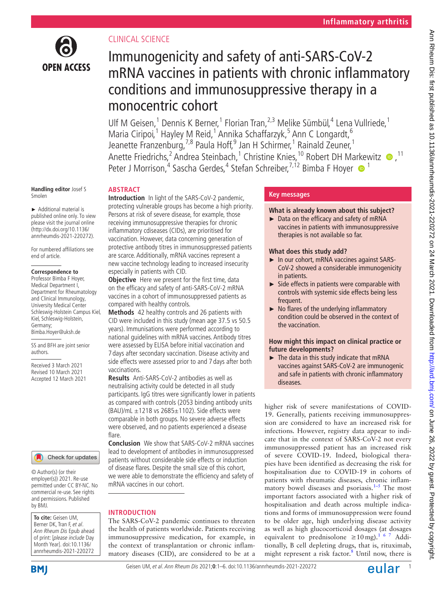

# CLINICAL SCIENCE

# Immunogenicity and safety of anti-SARS-CoV-2 mRNA vaccines in patients with chronic inflammatory conditions and immunosuppressive therapy in a monocentric cohort

Ulf M Geisen,<sup>1</sup> Dennis K Berner,<sup>1</sup> Florian Tran,<sup>2,3</sup> Melike Sümbül,<sup>4</sup> Lena Vullriede,<sup>1</sup> Maria Ciripoi,<sup>1</sup> Hayley M Reid,<sup>1</sup> Annika Schaffarzyk,<sup>5</sup> Ann C Longardt,<sup>6</sup> Jeanette Franzenburg,<sup>7,8</sup> Paula Hoff,<sup>9</sup> Jan H Schirmer,<sup>1</sup> Rainald Zeuner,<sup>1</sup> Anette Friedrichs,<sup>2</sup> Andrea Steinbach,<sup>1</sup> Christine Knies,<sup>10</sup> Robert DH Markewitz  $\bullet$ ,<sup>11</sup> Peter J Morrison,<sup>4</sup> Sascha Gerdes,<sup>4</sup> Stefan Schreiber,<sup>7,12</sup> Bimba F Hoyer <sup>1</sup>

#### **Handling editor** Josef S Smolen

► Additional material is published online only. To view please visit the journal online (http://dx.doi.org/10.1136/ annrheumdis-2021-220272).

For numbered affiliations see end of article.

## **Correspondence to**

Professor Bimba F Hoyer, Medical Department I, Department for Rheumatology and Clinical Immunology, University Medical Center Schleswig-Holstein Campus Kiel, Kiel, Schleswig-Holstein, Germany; Bimba.Hoyer@uksh.de

SS and BFH are joint senior authors.

Received 3 March 2021 Revised 10 March 2021 Accepted 12 March 2021



© Author(s) (or their employer(s)) 2021. Re-use permitted under CC BY-NC. No commercial re-use. See rights and permissions. Published by BMJ.

**To cite:** Geisen UM, Berner DK, Tran F, et al. Ann Rheum Dis Epub ahead of print: [please include Day Month Year]. doi:10.1136/ annrheumdis-2021-220272

**ABSTRACT Introduction** In light of the SARS-CoV-2 pandemic, protecting vulnerable groups has become a high priority. Persons at risk of severe disease, for example, those receiving immunosuppressive therapies for chronic inflammatory cdiseases (CIDs), are prioritised for vaccination. However, data concerning generation of protective antibody titres in immunosuppressed patients are scarce. Additionally, mRNA vaccines represent a new vaccine technology leading to increased insecurity especially in patients with CID.

**Objective** Here we present for the first time, data on the efficacy and safety of anti-SARS-CoV-2 mRNA vaccines in a cohort of immunosuppressed patients as compared with healthy controls.

**Methods** 42 healthy controls and 26 patients with CID were included in this study (mean age 37.5 vs 50.5 years). Immunisations were performed according to national guidelines with mRNA vaccines. Antibody titres were assessed by ELISA before initial vaccination and 7 days after secondary vaccination. Disease activity and side effects were assessed prior to and 7 days after both vaccinations.

**Results** Anti-SARS-CoV-2 antibodies as well as neutralising activity could be detected in all study participants. IgG titres were significantly lower in patients as compared with controls (2053 binding antibody units (BAU)/mL  $\pm$ 1218 vs 2685 $\pm$ 1102). Side effects were comparable in both groups. No severe adverse effects were observed, and no patients experienced a disease flare.

**Conclusion** We show that SARS-CoV-2 mRNA vaccines lead to development of antibodies in immunosuppressed patients without considerable side effects or induction of disease flares. Despite the small size of this cohort, we were able to demonstrate the efficiency and safety of mRNA vaccines in our cohort.

## **INTRODUCTION**

The SARS-CoV-2 pandemic continues to threaten the health of patients worldwide. Patients receiving immunosuppressive medication, for example, in the context of transplantation or chronic inflammatory diseases (CID), are considered to be at a

# **Key messages**

## **What is already known about this subject?**

► Data on the efficacy and safety of mRNA vaccines in patients with immunosuppressive therapies is not available so far.

## **What does this study add?**

- ► In our cohort, mRNA vaccines against SARS-CoV-2 showed a considerable immunogenicity in patients.
- ► Side effects in patients were comparable with controls with systemic side effects being less frequent.
- $\blacktriangleright$  No flares of the underlying inflammatory condition could be observed in the context of the vaccination.

## **How might this impact on clinical practice or future developments?**

► The data in this study indicate that mRNA vaccines against SARS-CoV-2 are immunogenic and safe in patients with chronic inflammatory diseases.

higher risk of severe manifestations of COVID-19. Generally, patients receiving immunosuppression are considered to have an increased risk for infections. However, registry data appear to indicate that in the context of SARS-CoV-2 not every immunosuppressed patient has an increased risk of severe COVID-19. Indeed, biological therapies have been identified as decreasing the risk for hospitalisation due to COVID-19 in cohorts of patients with rheumatic diseases, chronic inflammatory bowel diseases and psoriasis. $1-5$  The most important factors associated with a higher risk of hospitalisation and death across multiple indications and forms of immunosuppression were found to be older age, high underlying disease activity as well as high glucocorticoid dosages (at dosages equivalent to prednisolone  $\geq 10$  mg).<sup>1 6 7</sup> Additionally, B cell depleting drugs, that is, rituximab, might represent a risk factor. $8$  Until now, there is

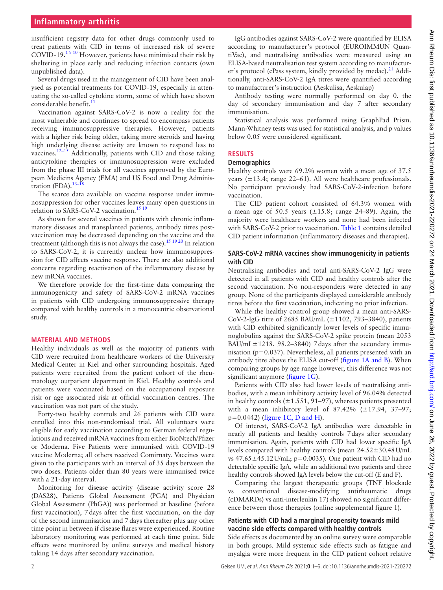## **Inflammatory arthritis**

insufficient registry data for other drugs commonly used to treat patients with CID in terms of increased risk of severe  $\text{COVID-19.1}^{9}$  However, patients have minimised their risk by sheltering in place early and reducing infection contacts (own unpublished data).

Several drugs used in the management of CID have been analysed as potential treatments for COVID-19, especially in attenuating the so-called cytokine storm, some of which have shown considerable benefit. $11$ 

Vaccination against SARS-CoV-2 is now a reality for the most vulnerable and continues to spread to encompass patients receiving immunosuppressive therapies. However, patients with a higher risk being older, taking more steroids and having high underlying disease activity are known to respond less to vaccines[.12–15](#page-5-3) Additionally, patients with CID and those taking anticytokine therapies or immunosuppression were excluded from the phase III trials for all vaccines approved by the European Medicins Agency (EMA) and US Food and Drug Administration (FDA). $16-18$ 

The scarce data available on vaccine response under immunosuppression for other vaccines leaves many open questions in relation to SARS-CoV-2 vaccination.<sup>15 19</sup>

As shown for several vaccines in patients with chronic inflammatory diseases and transplanted patients, antibody titres postvaccination may be decreased depending on the vaccine and the treatment (although this is not always the case).<sup>[15 19 20](#page-5-5)</sup> In relation to SARS-CoV-2, it is currently unclear how immunosuppression for CID affects vaccine response. There are also additional concerns regarding reactivation of the inflammatory disease by new mRNA vaccines.

We therefore provide for the first-time data comparing the immunogenicity and safety of SARS-CoV-2 mRNA vaccines in patients with CID undergoing immunosuppressive therapy compared with healthy controls in a monocentric observational study.

### **MATERIAL AND METHODS**

Healthy individuals as well as the majority of patients with CID were recruited from healthcare workers of the University Medical Center in Kiel and other surrounding hospitals. Aged patients were recruited from the patient cohort of the rheumatology outpatient department in Kiel. Healthy controls and patients were vaccinated based on the occupational exposure risk or age associated risk at official vaccination centres. The vaccination was not part of the study.

Forty-two healthy controls and 26 patients with CID were enrolled into this non-randomised trial. All volunteers were eligible for early vaccination according to German federal regulations and received mRNA vaccines from either BioNtech/Pfizer or Moderna. Five Patients were immunised with COVID-19 vaccine Moderna; all others received Comirnaty. Vaccines were given to the participants with an interval of 35 days between the two doses. Patients older than 80 years were immunised twice with a 21-day interval.

Monitoring for disease activity (disease activity score 28 (DAS28), Patients Global Assessment (PGA) and Physician Global Assessment (PhGA)) was performed at baseline (before first vaccination), 7days after the first vaccination, on the day of the second immunisation and 7days thereafter plus any other time point in between if disease flares were experienced. Routine laboratory monitoring was performed at each time point. Side effects were monitored by online surveys and medical history taking 14 days after secondary vaccination.

IgG antibodies against SARS-CoV-2 were quantified by ELISA according to manufacturer's protocol (EUROIMMUN QuantiVac), and neutralising antibodies were measured using an ELISA-based neutralisation test system according to manufacturer's protocol (cPass system, kindly provided by medac).<sup>21</sup> Additionally, anti-SARS-CoV-2 IgA titres were quantified according to manufacturer's instruction (Aeskulisa, Aeskulap)

Antibody testing were normally performed on day 0, the day of secondary immunisation and day 7 after secondary immunisation.

Statistical analysis was performed using GraphPad Prism. Mann-Whitney tests was used for statistical analysis, and p values below 0.05 were considered significant.

## **RESULTS**

#### **Demographics**

Healthy controls were 69.2% women with a mean age of 37.5 years (±13.4; range 22–61). All were healthcare professionals. No participant previously had SARS-CoV-2-infection before vaccination.

The CID patient cohort consisted of 64.3% women with a mean age of 50.5 years  $(\pm 15.8; \text{ range } 24-89)$ . Again, the majority were healthcare workers and none had been infected with SARS-CoV-2 prior to vaccination. [Table](#page-2-0) 1 contains detailed CID patient information (inflammatory diseases and therapies).

### **SARS-CoV-2 mRNA vaccines show immunogenicity in patients with CID**

Neutralising antibodies and total anti-SARS-CoV-2 IgG were detected in all patients with CID and healthy controls after the second vaccination. No non-responders were detected in any group. None of the participants displayed considerable antibody titres before the first vaccination, indicating no prior infection.

While the healthy control group showed a mean anti-SARS-CoV-2-IgG titre of 2685 BAU/mL (±1102, 793–3840), patients with CID exhibited significantly lower levels of specific immunoglobulins against the SARS-CoV-2 spike protein (mean 2053 BAU/mL $\pm$ 1218, 98.2–3840) 7 days after the secondary immunisation (p=0.037). Nevertheless, all patients presented with an antibody titre above the ELISA cut-off (figure [1A and B\)](#page-3-0). When comparing groups by age range however, this difference was not significant anymore ([figure](#page-3-0) 1G).

Patients with CID also had lower levels of neutralising antibodies, with a mean inhibitory activity level of 96.04% detected in healthy controls  $(\pm 1.551, 91-97)$ , whereas patients presented with a mean inhibitory level of  $87.42\%$  ( $\pm 17.94$ ,  $37-97$ ; p=0.0442) (figure [1C, D and H\)](#page-3-0).

Of interest, SARS-CoV-2 IgA antibodies were detectable in nearly all patients and healthy controls 7days after secondary immunisation. Again, patients with CID had lower specific IgA levels compared with healthy controls (mean 24.52±30.48U/mL vs  $47.65 \pm 45.12$  U/mL; p=0.0035). One patient with CID had no detectable specific IgA, while an additional two patients and three healthy controls showed IgA levels below the cut-off (E and F).

Comparing the largest therapeutic groups (TNF blockade conventional disease-modifying antirheumatic drugs (cDMARDs) vs anti-interleukin 17) showed no significant difference between those therapies [\(online supplemental figure 1\)](https://dx.doi.org/10.1136/annrheumdis-2021-220272).

## **Patients with CID had a marginal propensity towards mild vaccine side effects compared with healthy controls**

Side effects as documented by an online survey were comparable in both groups. Mild systemic side effects such as fatigue and myalgia were more frequent in the CID patient cohort relative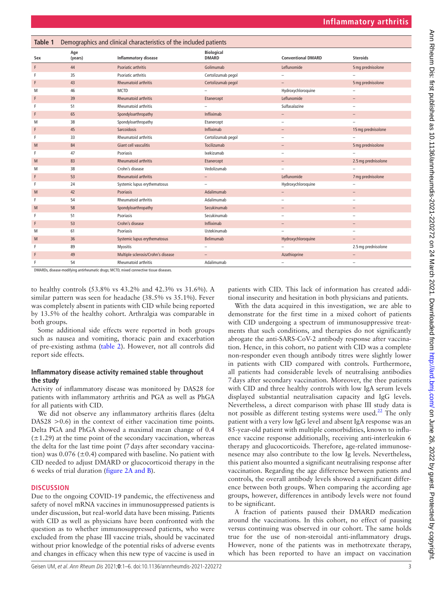<span id="page-2-0"></span>

| Table 1 | Demographics and clinical characteristics of the included patients |                                    |                                   |                           |                          |  |  |  |  |
|---------|--------------------------------------------------------------------|------------------------------------|-----------------------------------|---------------------------|--------------------------|--|--|--|--|
| Sex     | Age<br>(years)                                                     | <b>Inflammatory disease</b>        | <b>Biological</b><br><b>DMARD</b> | <b>Conventional DMARD</b> | <b>Steroids</b>          |  |  |  |  |
| F       | 44                                                                 | Psoriatic arthritis                | Golimumab                         | Leflunomide               | 5 mg prednisolone        |  |  |  |  |
| F       | 35                                                                 | Psoriatic arthritis                | Certolizumab pegol                | $\equiv$                  |                          |  |  |  |  |
| F       | 43                                                                 | <b>Rheumatoid arthritis</b>        | Certolizumab pegol                |                           | 5 mg prednisolone        |  |  |  |  |
| M       | 46                                                                 | <b>MCTD</b>                        |                                   | Hydroxychloroquine        |                          |  |  |  |  |
| F       | 39                                                                 | Rheumatoid arthritis               | Etanercept                        | Leflunomide               | $\qquad \qquad -$        |  |  |  |  |
| F       | 51                                                                 | Rheumatoid arthritis               |                                   | Sulfasalazine             |                          |  |  |  |  |
| F       | 65                                                                 | Spondyloarthropathy                | Infliximab                        | $\qquad \qquad -$         |                          |  |  |  |  |
| M       | 38                                                                 | Spondyloarthropathy                | Etanercept                        |                           |                          |  |  |  |  |
| F       | 45                                                                 | Sarcoidosis                        | Infliximab                        | $\overline{\phantom{0}}$  | 15 mg prednisolone       |  |  |  |  |
| F       | 33                                                                 | Rheumatoid arthritis               | Certolizumab pegol                |                           |                          |  |  |  |  |
| M       | 84                                                                 | Giant cell vasculitis              | Tocilizumab                       | -                         | 5 mg prednisolone        |  |  |  |  |
| F       | 47                                                                 | Psoriasis                          | Ixekizumab                        |                           |                          |  |  |  |  |
| M       | 83                                                                 | <b>Rheumatoid arthritis</b>        | Etanercept                        |                           | 2.5 mg prednisolone      |  |  |  |  |
| M       | 38                                                                 | Crohn's disease                    | Vedolizumab                       |                           |                          |  |  |  |  |
| F       | 53                                                                 | <b>Rheumatoid arthritis</b>        | $\qquad \qquad -$                 | Leflunomide               | 7 mg prednisolone        |  |  |  |  |
| F       | 24                                                                 | Systemic lupus erythematosus       | $\qquad \qquad -$                 | Hydroxychloroquine        | -                        |  |  |  |  |
| M       | 42                                                                 | Psoriasis                          | Adalimumab                        | $\qquad \qquad -$         |                          |  |  |  |  |
| F       | 54                                                                 | Rheumatoid arthritis               | Adalimumab                        |                           |                          |  |  |  |  |
| M       | 58                                                                 | Spondyloarthropathy                | Secukinumab                       |                           |                          |  |  |  |  |
| F       | 51                                                                 | Psoriasis                          | Secukinumab                       | $\sim$                    | $\overline{\phantom{0}}$ |  |  |  |  |
| F       | 53                                                                 | Crohn's disease                    | Infliximab                        |                           |                          |  |  |  |  |
| M       | 61                                                                 | Psoriasis                          | Ustekinumab                       |                           |                          |  |  |  |  |
| M       | 36                                                                 | Systemic lupus erythematosus       | Belimumab                         | Hydroxychloroquine        |                          |  |  |  |  |
| F       | 89                                                                 | Myositis                           | $\overline{\phantom{0}}$          |                           | 2.5 mg prednisolone      |  |  |  |  |
| F       | 49                                                                 | Multiple sclerosis/Crohn's disease |                                   | Azathioprine              | $\qquad \qquad -$        |  |  |  |  |
| F       | 54                                                                 | Rheumatoid arthritis               | Adalimumab                        |                           | -                        |  |  |  |  |

DMARDs, disease-modifying antirheumatic drugs; MCTD, mixed connective tissue diseases.

to healthy controls (53.8% vs 43.2% and 42.3% vs 31.6%). A similar pattern was seen for headache (38.5% vs 35.1%). Fever was completely absent in patients with CID while being reported by 13.5% of the healthy cohort. Arthralgia was comparable in both groups.

Some additional side effects were reported in both groups such as nausea and vomiting, thoracic pain and exacerbation of pre-existing asthma ([table](#page-4-0) 2). However, not all controls did report side effects.

### **Inflammatory disease activity remained stable throughout the study**

Activity of inflammatory disease was monitored by DAS28 for patients with inflammatory arthritis and PGA as well as PhGA for all patients with CID.

We did not observe any inflammatory arthritis flares (delta DAS28 > 0.6) in the context of either vaccination time points. Delta PGA and PhGA showed a maximal mean change of 0.4  $(\pm 1.29)$  at the time point of the secondary vaccination, whereas the delta for the last time point (7days after secondary vaccination) was  $0.076$  ( $\pm 0.4$ ) compared with baseline. No patient with CID needed to adjust DMARD or glucocorticoid therapy in the 6 weeks of trial duration (figure [2A and B](#page-4-1)).

#### **DISCUSSION**

Due to the ongoing COVID-19 pandemic, the effectiveness and safety of novel mRNA vaccines in immunosuppressed patients is under discussion, but real-world data have been missing. Patients with CID as well as physicians have been confronted with the question as to whether immunosuppressed patients, who were excluded from the phase III vaccine trials, should be vaccinated without prior knowledge of the potential risks of adverse events and changes in efficacy when this new type of vaccine is used in

patients with CID. This lack of information has created additional insecurity and hesitation in both physicians and patients.

With the data acquired in this investigation, we are able to demonstrate for the first time in a mixed cohort of patients with CID undergoing a spectrum of immunosuppressive treatments that such conditions, and therapies do not significantly abrogate the anti-SARS-CoV-2 antibody response after vaccination. Hence, in this cohort, no patient with CID was a complete non-responder even though antibody titres were slightly lower in patients with CID compared with controls. Furthermore, all patients had considerable levels of neutralising antibodies 7days after secondary vaccination. Moreover, the thee patients with CID and three healthy controls with low IgA serum levels displayed substantial neutralisation capacity and IgG levels. Nevertheless, a direct comparison with phase III study data is not possible as different testing systems were used.<sup>[22](#page-5-7)</sup> The only patient with a very low IgG level and absent IgA response was an 85-year-old patient with multiple comorbidities, known to influence vaccine response additionally, receiving anti-interleukin 6 therapy and glucocorticoids. Therefore, age-related immunosenesence may also contribute to the low Ig levels. Nevertheless, this patient also mounted a significant neutralising response after vaccination. Regarding the age difference between patients and controls, the overall antibody levels showed a significant difference between both groups. When comparing the according age groups, however, differences in antibody levels were not found to be significant.

A fraction of patients paused their DMARD medication around the vaccinations. In this cohort, no effect of pausing versus continuing was observed in our cohort. The same holds true for the use of non-steroidal anti-inflammatory drugs. However, none of the patients was in methotrexate therapy, which has been reported to have an impact on vaccination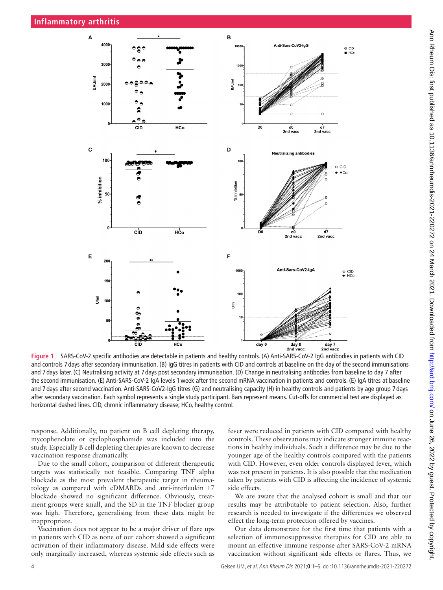

<span id="page-3-0"></span>**Figure 1** SARS-CoV-2 specific antibodies are detectable in patients and healthy controls. (A) Anti-SARS-CoV-2 IgG antibodies in patients with CID and controls 7 days after secondary immunisation. (B) IgG titres in patients with CID and controls at baseline on the day of the second immunisations and 7 days later. (C) Neutralising activity at 7 days post secondary immunisation. (D) Change in neutralising antibodies from baseline to day 7 after the second immunisation. (E) Anti-SARS-CoV-2 IgA levels 1week after the second mRNA vaccination in patients and controls. (E) IgA titres at baseline and 7 days after second vaccination. Anti-SARS-CoV2-IgG titres (G) and neutralising capacity (H) in healthy controls and patients by age group 7 days after secondary vaccination. Each symbol represents a single study participant. Bars represent means. Cut-offs for commercial test are displayed as horizontal dashed lines. CID, chronic inflammatory disease; HCo, healthy control.

response. Additionally, no patient on B cell depleting therapy, mycophenolate or cyclophosphamide was included into the study. Especially B cell depleting therapies are known to decrease vaccination response dramatically.

Due to the small cohort, comparison of different therapeutic targets was statistically not feasible. Comparing TNF alpha blockade as the most prevalent therapeutic target in rheumatology as compared with cDMARDs and anti-interleukin 17 blockade showed no significant difference. Obviously, treatment groups were small, and the SD in the TNF blocker group was high. Therefore, generalising from these data might be inappropriate.

Vaccination does not appear to be a major driver of flare ups in patients with CID as none of our cohort showed a significant activation of their inflammatory disease. Mild side effects were only marginally increased, whereas systemic side effects such as

fever were reduced in patients with CID compared with healthy controls. These observations may indicate stronger immune reactions in healthy individuals. Such a difference may be due to the younger age of the healthy controls compared with the patients with CID. However, even older controls displayed fever, which was not present in patients. It is also possible that the medication taken by patients with CID is affecting the incidence of systemic side effects.

We are aware that the analysed cohort is small and that our results may be attributable to patient selection. Also, further research is needed to investigate if the differences we observed effect the long-term protection offered by vaccines.

Our data demonstrate for the first time that patients with a selection of immunosuppressive therapies for CID are able to mount an effective immune response after SARS-CoV-2 mRNA vaccination without significant side effects or flares. Thus, we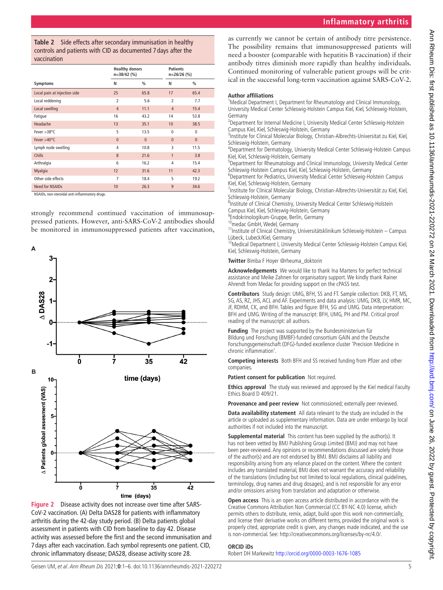## **Inflammatory arthritis**

<span id="page-4-0"></span>**Table 2** Side effects after secondary immunisation in healthy controls and patients with CID as documented 7 days after the vaccination

|                              | <b>Healthy donors</b><br>$n=38/42$ (%) |               |                | <b>Patients</b><br>n=26/26 (%) |  |
|------------------------------|----------------------------------------|---------------|----------------|--------------------------------|--|
| Symptoms                     | N                                      | $\frac{0}{0}$ | N              | $\frac{0}{0}$                  |  |
| Local pain at injection side | 25                                     | 65.8          | 17             | 65.4                           |  |
| Local reddening              | $\overline{2}$                         | 5.6           | $\overline{2}$ | 7.7                            |  |
| Local swelling               | $\overline{4}$                         | 11.1          | $\overline{4}$ | 15.4                           |  |
| Fatigue                      | 16                                     | 43.2          | 14             | 53.8                           |  |
| Headache                     | 13                                     | 35.1          | 10             | 38.5                           |  |
| Fever $>38^{\circ}$ C        | 5                                      | 13.5          | $\mathbf{0}$   | $\mathbf{0}$                   |  |
| Fever $>40^{\circ}$ C        | $\mathbf{0}$                           | $\mathbf{0}$  | $\Omega$       | $\mathbf{0}$                   |  |
| Lymph node swelling          | 4                                      | 10.8          | 3              | 11.5                           |  |
| <b>Chills</b>                | 8                                      | 21.6          | $\mathbf{1}$   | 3.8                            |  |
| Arthralgia                   | 6                                      | 16.2          | $\overline{4}$ | 15.4                           |  |
| Myalgia                      | 12                                     | 31.6          | 11             | 42.3                           |  |
| Other side effects           | $\overline{7}$                         | 18.4          | 5              | 19.2                           |  |
| Need for NSAIDs              | 10                                     | 26.3          | 9              | 34.6                           |  |

NSAIDs, non-steroidal anti-inflammatory drugs.

strongly recommend continued vaccination of immunosuppressed patients. However, anti-SARS-CoV-2 antibodies should be monitored in immunosuppressed patients after vaccination,



<span id="page-4-1"></span>**Figure 2** Disease activity does not increase over time after SARS-CoV-2 vaccination. (A) Delta DAS28 for patients with inflammatory arthritis during the 42-day study period. (B) Delta patients global assessment in patients with CID from baseline to day 42. Disease activity was assessed before the first and the second immunisation and 7 days after each vaccination. Each symbol represents one patient. CID, chronic inflammatory disease; DAS28, disease activity score 28.

as currently we cannot be certain of antibody titre persistence. The possibility remains that immunosuppressed patients will need a booster (comparable with hepatitis B vaccination) if their antibody titres diminish more rapidly than healthy individuals. Continued monitoring of vulnerable patient groups will be critical in the successful long-term vaccination against SARS-CoV-2.

#### **Author affiliations**

<sup>1</sup>Medical Department I, Department for Rheumatology and Clinical Immunology, University Medical Center Schleswig-Holstein Campus Kiel, Kiel, Schleswig-Holstein, Germany

<sup>2</sup> Department for Internal Medicine I, University Medical Center Schleswig-Holstein Campus Kiel, Kiel, Schleswig-Holstein, Germany <sup>3</sup>

<sup>3</sup>Institute for Clinical Molecular Biology, Christian-Albrechts-Universitat zu Kiel, Kiel, Schleswig-Holstein, Germany <sup>4</sup>

<sup>4</sup>Department for Dermatology, University Medical Center Schleswig-Holstein Campus Kiel, Kiel, Schleswig-Holstein, Germany <sup>5</sup>

<sup>5</sup>Department for Rheumatology and Clinical Immunology, University Medical Center Schleswig-Holstein Campus Kiel, Kiel, Schleswig-Holstein, Germany <sup>6</sup>

Department for Pediatrics, University Medical Center Schleswig-Holstein Campus Kiel, Kiel, Schleswig-Holstein, Germany <sup>7</sup>

<sup>7</sup>Institute for Clinical Molecular Biology, Christian-Albrechts-Universität zu Kiel, Kiel, Schleswig-Holstein, Germany

<sup>8</sup>Institute of Clinical Chemistry, University Medical Center Schleswig-Holstein Campus Kiel, Kiel, Schleswig-Holstein, Germany <sup>9</sup>

<sup>9</sup>Endokrinologikum-Gruppe, Berlin, Germany<br><sup>10</sup>medac GmbH, Wedel, Germany

11Institute of Clinical Chemistry, Universitätsklinikum Schleswig-Holstein – Campus<br>Lübeck, Lubeck/Kiel, Germany

<sup>12</sup>Medical Department I, University Medical Center Schleswig-Holstein Campus Kiel, Kiel, Schleswig-Holstein, Germany

**Twitter** Bimba F Hoyer [@rheuma\\_doktorin](https://twitter.com/rheuma_doktorin)

**Acknowledgements** We would like to thank Ina Martens for perfect technical assistance and Meike Zahnen for organisatory support. We kindly thank Rainer Ahrendt from Medac for providing support on the cPASS test.

**Contributors** Study design: UMG, BFH, SS and FT. Sample collection: DKB, FT, MS, SG, AS, RZ, JHS, ACL and AF. Experiments and data analysis: UMG, DKB, LV, HMR, MC, JF, RDHM, CK, and BFH. Tables and figure: BFH, SG and UMG. Data interpretation: BFH and UMG. Writing of the manuscript: BFH, UMG, PH and PM. Critical proof reading of the manuscript: all authors.

**Funding** The project was supported by the Bundesministerium für BIldung und Forschung (BMBF)-funded consortium GAIN and the Deutsche Forschungsgemeinschaft (DFG)-funded excellence cluster 'Precision Medicine in chronic inflammation'.

**Competing interests** Both BFH and SS received funding from Pfizer and other companies.

**Patient consent for publication** Not required.

**Ethics approval** The study was reviewed and approved by the Kiel medical Faculty Ethics Board D 409/21.

**Provenance and peer review** Not commissioned; externally peer reviewed.

**Data availability statement** All data relevant to the study are included in the article or uploaded as supplementary information. Data are under embargo by local authorities if not included into the manuscript.

**Supplemental material** This content has been supplied by the author(s). It has not been vetted by BMJ Publishing Group Limited (BMJ) and may not have been peer-reviewed. Any opinions or recommendations discussed are solely those of the author(s) and are not endorsed by BMJ. BMJ disclaims all liability and responsibility arising from any reliance placed on the content. Where the content includes any translated material, BMJ does not warrant the accuracy and reliability of the translations (including but not limited to local regulations, clinical guidelines, terminology, drug names and drug dosages), and is not responsible for any error and/or omissions arising from translation and adaptation or otherwise.

**Open access** This is an open access article distributed in accordance with the Creative Commons Attribution Non Commercial (CC BY-NC 4.0) license, which permits others to distribute, remix, adapt, build upon this work non-commercially, and license their derivative works on different terms, provided the original work is properly cited, appropriate credit is given, any changes made indicated, and the use is non-commercial. See: [http://creativecommons.org/licenses/by-nc/4.0/.](http://creativecommons.org/licenses/by-nc/4.0/)

#### **ORCID iDs**

Robert DH Markewitz <http://orcid.org/0000-0003-1676-1085>